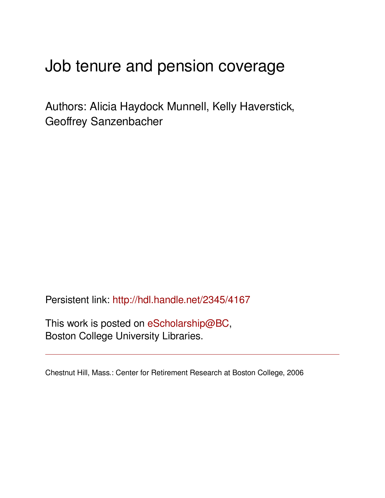# Job tenure and pension coverage

Authors: Alicia Haydock Munnell, Kelly Haverstick, Geoffrey Sanzenbacher

Persistent link: <http://hdl.handle.net/2345/4167>

This work is posted on [eScholarship@BC](http://escholarship.bc.edu), Boston College University Libraries.

Chestnut Hill, Mass.: Center for Retirement Research at Boston College, 2006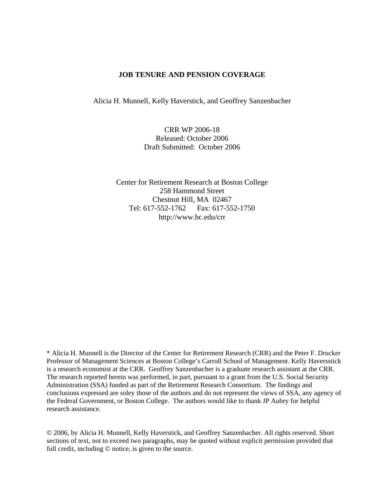# **JOB TENURE AND PENSION COVERAGE**

Alicia H. Munnell, Kelly Haverstick, and Geoffrey Sanzenbacher

CRR WP 2006-18 Released: October 2006 Draft Submitted: October 2006

Center for Retirement Research at Boston College 258 Hammond Street Chestnut Hill, MA 02467 Tel: 617-552-1762 Fax: 617-552-1750 http://www.bc.edu/crr

\* Alicia H. Munnell is the Director of the Center for Retirement Research (CRR) and the Peter F. Drucker Professor of Management Sciences at Boston College's Carroll School of Management. Kelly Haversstick is a research economist at the CRR. Geoffrey Sanzenbacher is a graduate research assistant at the CRR. The research reported herein was performed, in part, pursuant to a grant from the U.S. Social Security Administration (SSA) funded as part of the Retirement Research Consortium. The findings and conclusions expressed are soley those of the authors and do not represent the views of SSA, any agency of the Federal Government, or Boston College. The authors would like to thank JP Aubry for helpful research assistance.

© 2006, by Alicia H. Munnell, Kelly Haverstick, and Geoffrey Sanzenbacher. All rights reserved. Short sections of text, not to exceed two paragraphs, may be quoted without explicit permission provided that full credit, including  $\odot$  notice, is given to the source.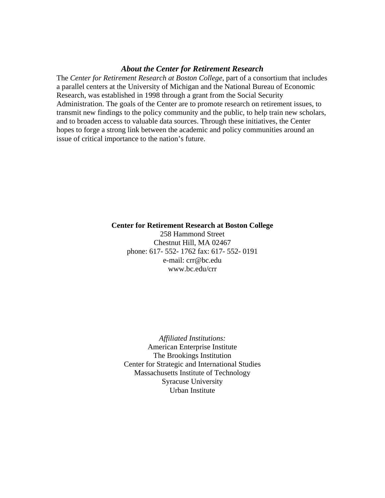# *About the Center for Retirement Research*

The *Center for Retirement Research at Boston College*, part of a consortium that includes a parallel centers at the University of Michigan and the National Bureau of Economic Research, was established in 1998 through a grant from the Social Security Administration. The goals of the Center are to promote research on retirement issues, to transmit new findings to the policy community and the public, to help train new scholars, and to broaden access to valuable data sources. Through these initiatives, the Center hopes to forge a strong link between the academic and policy communities around an issue of critical importance to the nation's future.

#### **Center for Retirement Research at Boston College**

258 Hammond Street Chestnut Hill, MA 02467 phone: 617- 552- 1762 fax: 617- 552- 0191 e-mail: crr@bc.edu www.bc.edu/crr

*Affiliated Institutions:*  American Enterprise Institute The Brookings Institution Center for Strategic and International Studies Massachusetts Institute of Technology Syracuse University Urban Institute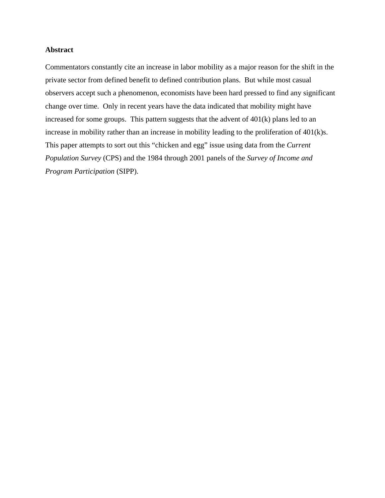#### **Abstract**

Commentators constantly cite an increase in labor mobility as a major reason for the shift in the private sector from defined benefit to defined contribution plans. But while most casual observers accept such a phenomenon, economists have been hard pressed to find any significant change over time. Only in recent years have the data indicated that mobility might have increased for some groups. This pattern suggests that the advent of 401(k) plans led to an increase in mobility rather than an increase in mobility leading to the proliferation of 401(k)s. This paper attempts to sort out this "chicken and egg" issue using data from the *Current Population Survey* (CPS) and the 1984 through 2001 panels of the *Survey of Income and Program Participation* (SIPP).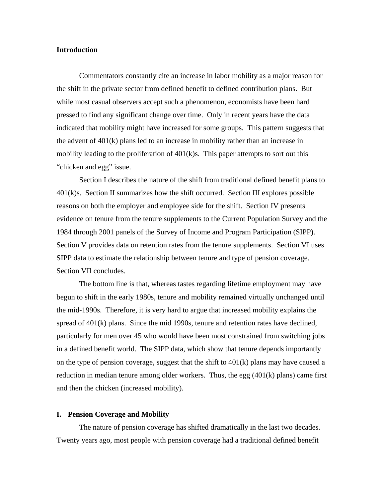#### **Introduction**

Commentators constantly cite an increase in labor mobility as a major reason for the shift in the private sector from defined benefit to defined contribution plans. But while most casual observers accept such a phenomenon, economists have been hard pressed to find any significant change over time. Only in recent years have the data indicated that mobility might have increased for some groups. This pattern suggests that the advent of  $401(k)$  plans led to an increase in mobility rather than an increase in mobility leading to the proliferation of  $401(k)s$ . This paper attempts to sort out this "chicken and egg" issue.

Section I describes the nature of the shift from traditional defined benefit plans to  $401(k)$ s. Section II summarizes how the shift occurred. Section III explores possible reasons on both the employer and employee side for the shift. Section IV presents evidence on tenure from the tenure supplements to the Current Population Survey and the 1984 through 2001 panels of the Survey of Income and Program Participation (SIPP). Section V provides data on retention rates from the tenure supplements. Section VI uses SIPP data to estimate the relationship between tenure and type of pension coverage. Section VII concludes.

The bottom line is that, whereas tastes regarding lifetime employment may have begun to shift in the early 1980s, tenure and mobility remained virtually unchanged until the mid-1990s. Therefore, it is very hard to argue that increased mobility explains the spread of 401(k) plans. Since the mid 1990s, tenure and retention rates have declined, particularly for men over 45 who would have been most constrained from switching jobs in a defined benefit world. The SIPP data, which show that tenure depends importantly on the type of pension coverage, suggest that the shift to  $401(k)$  plans may have caused a reduction in median tenure among older workers. Thus, the egg  $(401(k))$  plans) came first and then the chicken (increased mobility).

#### **I. Pension Coverage and Mobility**

The nature of pension coverage has shifted dramatically in the last two decades. Twenty years ago, most people with pension coverage had a traditional defined benefit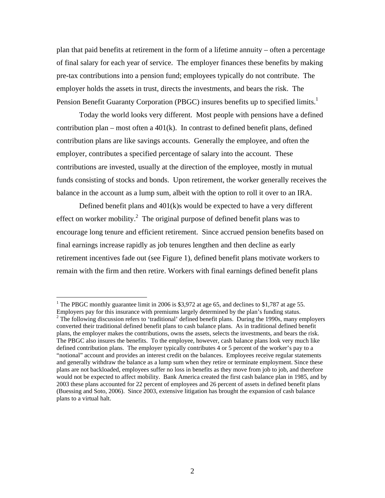plan that paid benefits at retirement in the form of a lifetime annuity – often a percentage of final salary for each year of service. The employer finances these benefits by making pre-tax contributions into a pension fund; employees typically do not contribute. The employer holds the assets in trust, directs the investments, and bears the risk. The Pension Benefit Guaranty Corporation (PBGC) insures benefits up to specified limits.<sup>1</sup>

Today the world looks very different. Most people with pensions have a defined contribution plan – most often a  $401(k)$ . In contrast to defined benefit plans, defined contribution plans are like savings accounts. Generally the employee, and often the employer, contributes a specified percentage of salary into the account. These contributions are invested, usually at the direction of the employee, mostly in mutual funds consisting of stocks and bonds. Upon retirement, the worker generally receives the balance in the account as a lump sum, albeit with the option to roll it over to an IRA.

 Defined benefit plans and 401(k)s would be expected to have a very different effect on worker mobility.<sup>2</sup> The original purpose of defined benefit plans was to encourage long tenure and efficient retirement. Since accrued pension benefits based on final earnings increase rapidly as job tenures lengthen and then decline as early retirement incentives fade out (see Figure 1), defined benefit plans motivate workers to remain with the firm and then retire. Workers with final earnings defined benefit plans

<sup>&</sup>lt;sup>1</sup> The PBGC monthly guarantee limit in 2006 is \$3,972 at age 65, and declines to \$1,787 at age 55. Employers pay for this insurance with premiums largely determined by the plan's funding status.

 $2$  The following discussion refers to 'traditional' defined benefit plans. During the 1990s, many employers converted their traditional defined benefit plans to cash balance plans. As in traditional defined benefit plans, the employer makes the contributions, owns the assets, selects the investments, and bears the risk. The PBGC also insures the benefits. To the employee, however, cash balance plans look very much like defined contribution plans. The employer typically contributes 4 or 5 percent of the worker's pay to a "notional" account and provides an interest credit on the balances. Employees receive regular statements and generally withdraw the balance as a lump sum when they retire or terminate employment. Since these plans are not backloaded, employees suffer no loss in benefits as they move from job to job, and therefore would not be expected to affect mobility. Bank America created the first cash balance plan in 1985, and by 2003 these plans accounted for 22 percent of employees and 26 percent of assets in defined benefit plans (Buessing and Soto, 2006). Since 2003, extensive litigation has brought the expansion of cash balance plans to a virtual halt.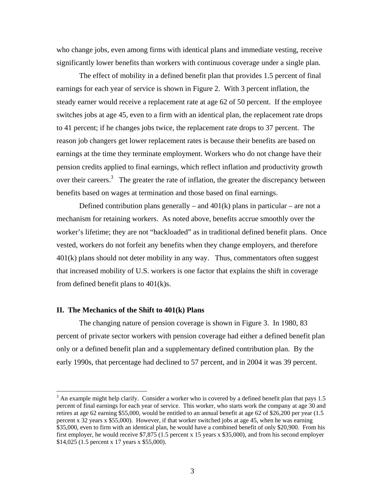who change jobs, even among firms with identical plans and immediate vesting, receive significantly lower benefits than workers with continuous coverage under a single plan.

 The effect of mobility in a defined benefit plan that provides 1.5 percent of final earnings for each year of service is shown in Figure 2. With 3 percent inflation, the steady earner would receive a replacement rate at age 62 of 50 percent. If the employee switches jobs at age 45, even to a firm with an identical plan, the replacement rate drops to 41 percent; if he changes jobs twice, the replacement rate drops to 37 percent. The reason job changers get lower replacement rates is because their benefits are based on earnings at the time they terminate employment. Workers who do not change have their pension credits applied to final earnings, which reflect inflation and productivity growth over their careers.<sup>3</sup> The greater the rate of inflation, the greater the discrepancy between benefits based on wages at termination and those based on final earnings.

Defined contribution plans generally – and  $401(k)$  plans in particular – are not a mechanism for retaining workers. As noted above, benefits accrue smoothly over the worker's lifetime; they are not "backloaded" as in traditional defined benefit plans. Once vested, workers do not forfeit any benefits when they change employers, and therefore  $401(k)$  plans should not deter mobility in any way. Thus, commentators often suggest that increased mobility of U.S. workers is one factor that explains the shift in coverage from defined benefit plans to 401(k)s.

#### **II. The Mechanics of the Shift to 401(k) Plans**

 $\overline{a}$ 

The changing nature of pension coverage is shown in Figure 3. In 1980, 83 percent of private sector workers with pension coverage had either a defined benefit plan only or a defined benefit plan and a supplementary defined contribution plan. By the early 1990s, that percentage had declined to 57 percent, and in 2004 it was 39 percent.

 $3$  An example might help clarify. Consider a worker who is covered by a defined benefit plan that pays 1.5 percent of final earnings for each year of service. This worker, who starts work the company at age 30 and retires at age 62 earning \$55,000, would be entitled to an annual benefit at age 62 of \$26,200 per year (1.5 percent x 32 years x \$55,000). However, if that worker switched jobs at age 45, when he was earning \$35,000, even to firm with an identical plan, he would have a combined benefit of only \$20,900. From his first employer, he would receive \$7,875 (1.5 percent x 15 years x \$35,000), and from his second employer \$14,025 (1.5 percent x 17 years x \$55,000).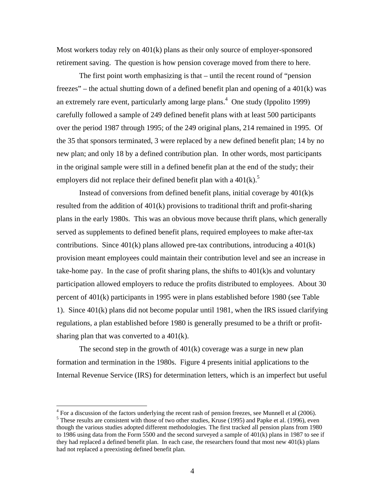Most workers today rely on 401(k) plans as their only source of employer-sponsored retirement saving. The question is how pension coverage moved from there to here.

 The first point worth emphasizing is that – until the recent round of "pension freezes" – the actual shutting down of a defined benefit plan and opening of a 401(k) was an extremely rare event, particularly among large plans.<sup>4</sup> One study (Ippolito 1999) carefully followed a sample of 249 defined benefit plans with at least 500 participants over the period 1987 through 1995; of the 249 original plans, 214 remained in 1995. Of the 35 that sponsors terminated, 3 were replaced by a new defined benefit plan; 14 by no new plan; and only 18 by a defined contribution plan. In other words, most participants in the original sample were still in a defined benefit plan at the end of the study; their employers did not replace their defined benefit plan with a  $401(k)$ .<sup>5</sup>

Instead of conversions from defined benefit plans, initial coverage by 401(k)s resulted from the addition of 401(k) provisions to traditional thrift and profit-sharing plans in the early 1980s. This was an obvious move because thrift plans, which generally served as supplements to defined benefit plans, required employees to make after-tax contributions. Since  $401(k)$  plans allowed pre-tax contributions, introducing a  $401(k)$ provision meant employees could maintain their contribution level and see an increase in take-home pay. In the case of profit sharing plans, the shifts to  $401(k)$ s and voluntary participation allowed employers to reduce the profits distributed to employees. About 30 percent of 401(k) participants in 1995 were in plans established before 1980 (see Table 1). Since 401(k) plans did not become popular until 1981, when the IRS issued clarifying regulations, a plan established before 1980 is generally presumed to be a thrift or profitsharing plan that was converted to a 401(k).

The second step in the growth of  $401(k)$  coverage was a surge in new plan formation and termination in the 1980s. Figure 4 presents initial applications to the Internal Revenue Service (IRS) for determination letters, which is an imperfect but useful

<sup>&</sup>lt;sup>4</sup> For a discussion of the factors underlying the recent rash of pension freezes, see Munnell et al (2006).<br><sup>5</sup> These results are consistent with these of two other studies. *Kruge* (1005) and Penke at al. (1006), system <sup>5</sup> These results are consistent with those of two other studies, Kruse (1995) and Papke et al. (1996), even though the various studies adopted different methodologies. The first tracked all pension plans from 1980 to 1986 using data from the Form 5500 and the second surveyed a sample of 401(k) plans in 1987 to see if they had replaced a defined benefit plan. In each case, the researchers found that most new  $401(k)$  plans had not replaced a preexisting defined benefit plan.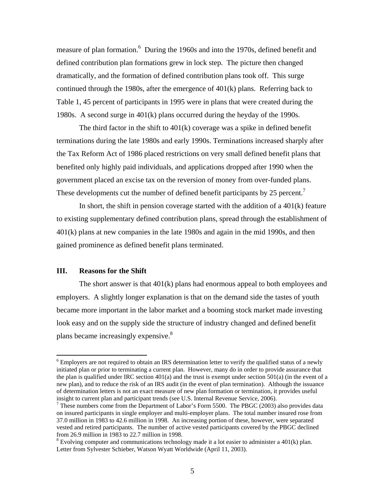measure of plan formation.<sup>6</sup> During the 1960s and into the 1970s, defined benefit and defined contribution plan formations grew in lock step. The picture then changed dramatically, and the formation of defined contribution plans took off. This surge continued through the 1980s, after the emergence of 401(k) plans. Referring back to Table 1, 45 percent of participants in 1995 were in plans that were created during the 1980s. A second surge in 401(k) plans occurred during the heyday of the 1990s.

The third factor in the shift to  $401(k)$  coverage was a spike in defined benefit terminations during the late 1980s and early 1990s. Terminations increased sharply after the Tax Reform Act of 1986 placed restrictions on very small defined benefit plans that benefited only highly paid individuals, and applications dropped after 1990 when the government placed an excise tax on the reversion of money from over-funded plans. These developments cut the number of defined benefit participants by 25 percent.<sup>7</sup>

In short, the shift in pension coverage started with the addition of a  $401(k)$  feature to existing supplementary defined contribution plans, spread through the establishment of 401(k) plans at new companies in the late 1980s and again in the mid 1990s, and then gained prominence as defined benefit plans terminated.

#### **III. Reasons for the Shift**

 $\overline{a}$ 

The short answer is that  $401(k)$  plans had enormous appeal to both employees and employers. A slightly longer explanation is that on the demand side the tastes of youth became more important in the labor market and a booming stock market made investing look easy and on the supply side the structure of industry changed and defined benefit plans became increasingly expensive.<sup>8</sup>

<sup>&</sup>lt;sup>6</sup> Employers are not required to obtain an IRS determination letter to verify the qualified status of a newly initiated plan or prior to terminating a current plan. However, many do in order to provide assurance that the plan is qualified under IRC section  $401(a)$  and the trust is exempt under section  $501(a)$  (in the event of a new plan), and to reduce the risk of an IRS audit (in the event of plan termination). Although the issuance of determination letters is not an exact measure of new plan formation or termination, it provides useful insight to current plan and participant trends (see U.S. Internal Revenue Service, 2006).

These numbers come from the Department of Labor's Form 5500. The PBGC (2003) also provides data on insured participants in single employer and multi-employer plans. The total number insured rose from 37.0 million in 1983 to 42.6 million in 1998. An increasing portion of these, however, were separated vested and retired participants. The number of active vested participants covered by the PBGC declined from 26.9 million in 1983 to 22.7 million in 1998.

<sup>&</sup>lt;sup>8</sup> Evolving computer and communications technology made it a lot easier to administer a 401(k) plan. Letter from Sylvester Schieber, Watson Wyatt Worldwide (April 11, 2003).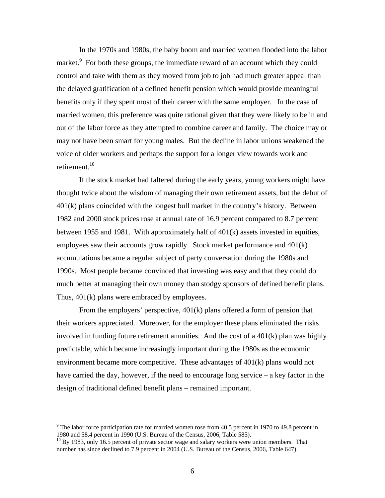In the 1970s and 1980s, the baby boom and married women flooded into the labor market.<sup>9</sup> For both these groups, the immediate reward of an account which they could control and take with them as they moved from job to job had much greater appeal than the delayed gratification of a defined benefit pension which would provide meaningful benefits only if they spent most of their career with the same employer. In the case of married women, this preference was quite rational given that they were likely to be in and out of the labor force as they attempted to combine career and family. The choice may or may not have been smart for young males. But the decline in labor unions weakened the voice of older workers and perhaps the support for a longer view towards work and retirement.<sup>10</sup>

If the stock market had faltered during the early years, young workers might have thought twice about the wisdom of managing their own retirement assets, but the debut of 401(k) plans coincided with the longest bull market in the country's history. Between 1982 and 2000 stock prices rose at annual rate of 16.9 percent compared to 8.7 percent between 1955 and 1981. With approximately half of 401(k) assets invested in equities, employees saw their accounts grow rapidly. Stock market performance and 401(k) accumulations became a regular subject of party conversation during the 1980s and 1990s. Most people became convinced that investing was easy and that they could do much better at managing their own money than stodgy sponsors of defined benefit plans. Thus, 401(k) plans were embraced by employees.

From the employers' perspective, 401(k) plans offered a form of pension that their workers appreciated. Moreover, for the employer these plans eliminated the risks involved in funding future retirement annuities. And the cost of a 401(k) plan was highly predictable, which became increasingly important during the 1980s as the economic environment became more competitive. These advantages of 401(k) plans would not have carried the day, however, if the need to encourage long service – a key factor in the design of traditional defined benefit plans – remained important.

<u>.</u>

 $9^9$  The labor force participation rate for married women rose from 40.5 percent in 1970 to 49.8 percent in 1980 and 58.4 percent in 1990 (U.S. Bureau of the Census, 2006, Table 585).

<sup>&</sup>lt;sup>10</sup> By 1983, only 16.5 percent of private sector wage and salary workers were union members. That number has since declined to 7.9 percent in 2004 (U.S. Bureau of the Census, 2006, Table 647).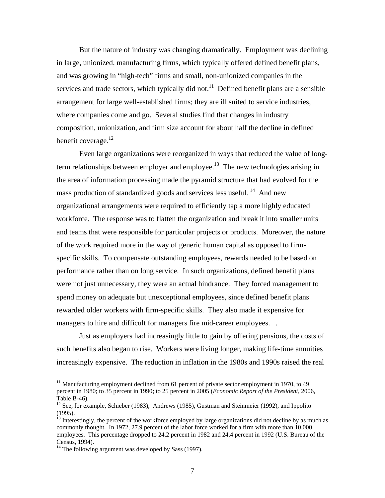But the nature of industry was changing dramatically. Employment was declining in large, unionized, manufacturing firms, which typically offered defined benefit plans, and was growing in "high-tech" firms and small, non-unionized companies in the services and trade sectors, which typically did not.<sup>11</sup> Defined benefit plans are a sensible arrangement for large well-established firms; they are ill suited to service industries, where companies come and go. Several studies find that changes in industry composition, unionization, and firm size account for about half the decline in defined benefit coverage. $^{12}$ 

Even large organizations were reorganized in ways that reduced the value of longterm relationships between employer and employee.<sup>13</sup> The new technologies arising in the area of information processing made the pyramid structure that had evolved for the mass production of standardized goods and services less useful.  $^{14}$  And new organizational arrangements were required to efficiently tap a more highly educated workforce. The response was to flatten the organization and break it into smaller units and teams that were responsible for particular projects or products. Moreover, the nature of the work required more in the way of generic human capital as opposed to firmspecific skills. To compensate outstanding employees, rewards needed to be based on performance rather than on long service. In such organizations, defined benefit plans were not just unnecessary, they were an actual hindrance. They forced management to spend money on adequate but unexceptional employees, since defined benefit plans rewarded older workers with firm-specific skills. They also made it expensive for managers to hire and difficult for managers fire mid-career employees...

Just as employers had increasingly little to gain by offering pensions, the costs of such benefits also began to rise. Workers were living longer, making life-time annuities increasingly expensive. The reduction in inflation in the 1980s and 1990s raised the real

 $11$  Manufacturing employment declined from 61 percent of private sector employment in 1970, to 49 percent in 1980; to 35 percent in 1990; to 25 percent in 2005 (*Economic Report of the President,* 2006, Table B-46).

<sup>&</sup>lt;sup>12</sup> See, for example, Schieber (1983), Andrews (1985), Gustman and Steinmeier (1992), and Ippolito (1995).

 $<sup>13</sup>$  Interestingly, the percent of the workforce employed by large organizations did not decline by as much as</sup> commonly thought. In 1972, 27.9 percent of the labor force worked for a firm with more than 10,000 employees. This percentage dropped to 24.2 percent in 1982 and 24.4 percent in 1992 (U.S. Bureau of the Census, 1994).

 $14$  The following argument was developed by Sass (1997).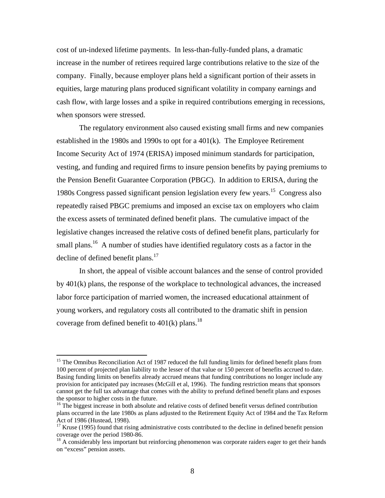cost of un-indexed lifetime payments. In less-than-fully-funded plans, a dramatic increase in the number of retirees required large contributions relative to the size of the company. Finally, because employer plans held a significant portion of their assets in equities, large maturing plans produced significant volatility in company earnings and cash flow, with large losses and a spike in required contributions emerging in recessions, when sponsors were stressed.

The regulatory environment also caused existing small firms and new companies established in the 1980s and 1990s to opt for a 401(k). The Employee Retirement Income Security Act of 1974 (ERISA) imposed minimum standards for participation, vesting, and funding and required firms to insure pension benefits by paying premiums to the Pension Benefit Guarantee Corporation (PBGC). In addition to ERISA, during the 1980s Congress passed significant pension legislation every few years.15 Congress also repeatedly raised PBGC premiums and imposed an excise tax on employers who claim the excess assets of terminated defined benefit plans. The cumulative impact of the legislative changes increased the relative costs of defined benefit plans, particularly for small plans.<sup>16</sup> A number of studies have identified regulatory costs as a factor in the decline of defined benefit plans. $17$ 

In short, the appeal of visible account balances and the sense of control provided by 401(k) plans, the response of the workplace to technological advances, the increased labor force participation of married women, the increased educational attainment of young workers, and regulatory costs all contributed to the dramatic shift in pension coverage from defined benefit to  $401(k)$  plans.<sup>18</sup>

<sup>&</sup>lt;sup>15</sup> The Omnibus Reconciliation Act of 1987 reduced the full funding limits for defined benefit plans from 100 percent of projected plan liability to the lesser of that value or 150 percent of benefits accrued to date. Basing funding limits on benefits already accrued means that funding contributions no longer include any provision for anticipated pay increases (McGill et al, 1996). The funding restriction means that sponsors cannot get the full tax advantage that comes with the ability to prefund defined benefit plans and exposes the sponsor to higher costs in the future.

<sup>&</sup>lt;sup>16</sup> The biggest increase in both absolute and relative costs of defined benefit versus defined contribution plans occurred in the late 1980s as plans adjusted to the Retirement Equity Act of 1984 and the Tax Reform Act of 1986 (Hustead, 1998).

 $17$  Kruse (1995) found that rising administrative costs contributed to the decline in defined benefit pension coverage over the period 1980-86.

<sup>&</sup>lt;sup>18</sup> A considerably less important but reinforcing phenomenon was corporate raiders eager to get their hands on "excess" pension assets.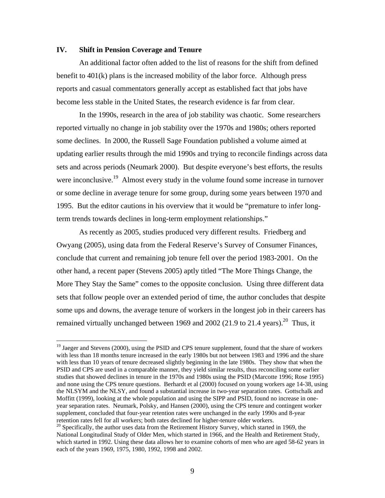#### **IV. Shift in Pension Coverage and Tenure**

 $\overline{a}$ 

An additional factor often added to the list of reasons for the shift from defined benefit to 401(k) plans is the increased mobility of the labor force. Although press reports and casual commentators generally accept as established fact that jobs have become less stable in the United States, the research evidence is far from clear.

In the 1990s, research in the area of job stability was chaotic. Some researchers reported virtually no change in job stability over the 1970s and 1980s; others reported some declines. In 2000, the Russell Sage Foundation published a volume aimed at updating earlier results through the mid 1990s and trying to reconcile findings across data sets and across periods (Neumark 2000). But despite everyone's best efforts, the results were inconclusive.<sup>19</sup> Almost every study in the volume found some increase in turnover or some decline in average tenure for some group, during some years between 1970 and 1995. But the editor cautions in his overview that it would be "premature to infer longterm trends towards declines in long-term employment relationships."

As recently as 2005, studies produced very different results. Friedberg and Owyang (2005), using data from the Federal Reserve's Survey of Consumer Finances, conclude that current and remaining job tenure fell over the period 1983-2001. On the other hand, a recent paper (Stevens 2005) aptly titled "The More Things Change, the More They Stay the Same" comes to the opposite conclusion. Using three different data sets that follow people over an extended period of time, the author concludes that despite some ups and downs, the average tenure of workers in the longest job in their careers has remained virtually unchanged between 1969 and 2002 (21.9 to 21.4 years).<sup>20</sup> Thus, it

<sup>&</sup>lt;sup>19</sup> Jaeger and Stevens (2000), using the PSID and CPS tenure supplement, found that the share of workers with less than 18 months tenure increased in the early 1980s but not between 1983 and 1996 and the share with less than 10 years of tenure decreased slightly beginning in the late 1980s. They show that when the PSID and CPS are used in a comparable manner, they yield similar results, thus reconciling some earlier studies that showed declines in tenure in the 1970s and 1980s using the PSID (Marcotte 1996; Rose 1995) and none using the CPS tenure questions. Berhardt et al (2000) focused on young workers age 14-38, using the NLSYM and the NLSY, and found a substantial increase in two-year separation rates. Gottschalk and Moffitt (1999), looking at the whole population and using the SIPP and PSID, found no increase in oneyear separation rates. Neumark, Polsky, and Hansen (2000), using the CPS tenure and contingent worker supplement, concluded that four-year retention rates were unchanged in the early 1990s and 8-year retention rates fell for all workers; both rates declined for higher-tenure older workers.

 $20$  Specifically, the author uses data from the Retirement History Survey, which started in 1969, the National Longitudinal Study of Older Men, which started in 1966, and the Health and Retirement Study, which started in 1992. Using these data allows her to examine cohorts of men who are aged 58-62 years in each of the years 1969, 1975, 1980, 1992, 1998 and 2002.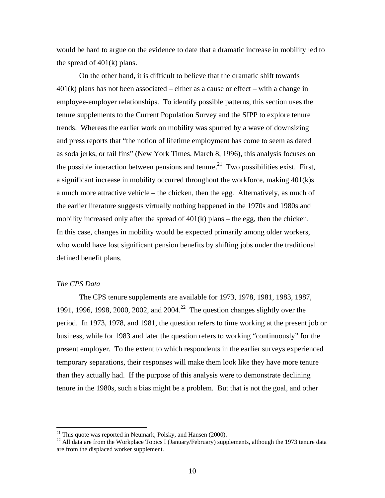would be hard to argue on the evidence to date that a dramatic increase in mobility led to the spread of 401(k) plans.

 On the other hand, it is difficult to believe that the dramatic shift towards  $401(k)$  plans has not been associated – either as a cause or effect – with a change in employee-employer relationships. To identify possible patterns, this section uses the tenure supplements to the Current Population Survey and the SIPP to explore tenure trends. Whereas the earlier work on mobility was spurred by a wave of downsizing and press reports that "the notion of lifetime employment has come to seem as dated as soda jerks, or tail fins" (New York Times, March 8, 1996), this analysis focuses on the possible interaction between pensions and tenure.<sup>21</sup> Two possibilities exist. First, a significant increase in mobility occurred throughout the workforce, making 401(k)s a much more attractive vehicle – the chicken, then the egg. Alternatively, as much of the earlier literature suggests virtually nothing happened in the 1970s and 1980s and mobility increased only after the spread of  $401(k)$  plans – the egg, then the chicken. In this case, changes in mobility would be expected primarily among older workers, who would have lost significant pension benefits by shifting jobs under the traditional defined benefit plans.

#### *The CPS Data*

1

The CPS tenure supplements are available for 1973, 1978, 1981, 1983, 1987, 1991, 1996, 1998, 2000, 2002, and 2004.<sup>22</sup> The question changes slightly over the period. In 1973, 1978, and 1981, the question refers to time working at the present job or business, while for 1983 and later the question refers to working "continuously" for the present employer. To the extent to which respondents in the earlier surveys experienced temporary separations, their responses will make them look like they have more tenure than they actually had. If the purpose of this analysis were to demonstrate declining tenure in the 1980s, such a bias might be a problem. But that is not the goal, and other

 $21$  This quote was reported in Neumark, Polsky, and Hansen (2000).

<sup>&</sup>lt;sup>22</sup> All data are from the Workplace Topics I (January/February) supplements, although the 1973 tenure data are from the displaced worker supplement.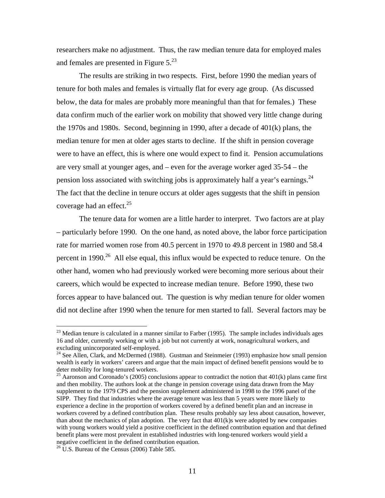researchers make no adjustment. Thus, the raw median tenure data for employed males and females are presented in Figure  $5<sup>23</sup>$ 

The results are striking in two respects. First, before 1990 the median years of tenure for both males and females is virtually flat for every age group. (As discussed below, the data for males are probably more meaningful than that for females.) These data confirm much of the earlier work on mobility that showed very little change during the 1970s and 1980s. Second, beginning in 1990, after a decade of 401(k) plans, the median tenure for men at older ages starts to decline. If the shift in pension coverage were to have an effect, this is where one would expect to find it. Pension accumulations are very small at younger ages, and – even for the average worker aged 35-54 – the pension loss associated with switching jobs is approximately half a year's earnings. $^{24}$ The fact that the decline in tenure occurs at older ages suggests that the shift in pension coverage had an effect. $25$ 

The tenure data for women are a little harder to interpret. Two factors are at play – particularly before 1990. On the one hand, as noted above, the labor force participation rate for married women rose from 40.5 percent in 1970 to 49.8 percent in 1980 and 58.4 percent in  $1990.<sup>26</sup>$  All else equal, this influx would be expected to reduce tenure. On the other hand, women who had previously worked were becoming more serious about their careers, which would be expected to increase median tenure. Before 1990, these two forces appear to have balanced out. The question is why median tenure for older women did not decline after 1990 when the tenure for men started to fall. Several factors may be

 $23$  Median tenure is calculated in a manner similar to Farber (1995). The sample includes individuals ages 16 and older, currently working or with a job but not currently at work, nonagricultural workers, and excluding unincorporated self-employed.

<sup>&</sup>lt;sup>24</sup> See Allen, Clark, and McDermed (1988). Gustman and Steinmeier (1993) emphasize how small pension wealth is early in workers' careers and argue that the main impact of defined benefit pensions would be to deter mobility for long-tenured workers.

<sup>&</sup>lt;sup>25</sup> Aaronson and Coronado's (2005) conclusions appear to contradict the notion that  $401(k)$  plans came first and then mobility. The authors look at the change in pension coverage using data drawn from the May supplement to the 1979 CPS and the pension supplement administered in 1998 to the 1996 panel of the SIPP. They find that industries where the average tenure was less than 5 years were more likely to experience a decline in the proportion of workers covered by a defined benefit plan and an increase in workers covered by a defined contribution plan. These results probably say less about causation, however, than about the mechanics of plan adoption. The very fact that  $401(k)$ s were adopted by new companies with young workers would yield a positive coefficient in the defined contribution equation and that defined benefit plans were most prevalent in established industries with long-tenured workers would yield a negative coefficient in the defined contribution equation.

 $26$  U.S. Bureau of the Census (2006) Table 585.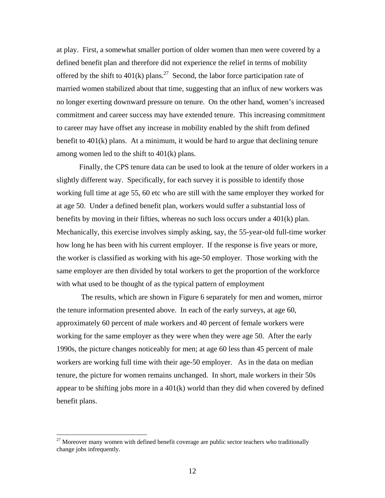at play. First, a somewhat smaller portion of older women than men were covered by a defined benefit plan and therefore did not experience the relief in terms of mobility offered by the shift to  $401(k)$  plans.<sup>27</sup> Second, the labor force participation rate of married women stabilized about that time, suggesting that an influx of new workers was no longer exerting downward pressure on tenure. On the other hand, women's increased commitment and career success may have extended tenure. This increasing commitment to career may have offset any increase in mobility enabled by the shift from defined benefit to 401(k) plans. At a minimum, it would be hard to argue that declining tenure among women led to the shift to 401(k) plans.

Finally, the CPS tenure data can be used to look at the tenure of older workers in a slightly different way. Specifically, for each survey it is possible to identify those working full time at age 55, 60 etc who are still with the same employer they worked for at age 50. Under a defined benefit plan, workers would suffer a substantial loss of benefits by moving in their fifties, whereas no such loss occurs under a  $401(k)$  plan. Mechanically, this exercise involves simply asking, say, the 55-year-old full-time worker how long he has been with his current employer. If the response is five years or more, the worker is classified as working with his age-50 employer. Those working with the same employer are then divided by total workers to get the proportion of the workforce with what used to be thought of as the typical pattern of employment

 The results, which are shown in Figure 6 separately for men and women, mirror the tenure information presented above. In each of the early surveys, at age 60, approximately 60 percent of male workers and 40 percent of female workers were working for the same employer as they were when they were age 50. After the early 1990s, the picture changes noticeably for men; at age 60 less than 45 percent of male workers are working full time with their age-50 employer. As in the data on median tenure, the picture for women remains unchanged. In short, male workers in their 50s appear to be shifting jobs more in a  $401(k)$  world than they did when covered by defined benefit plans.

 $27$  Moreover many women with defined benefit coverage are public sector teachers who traditionally change jobs infrequently.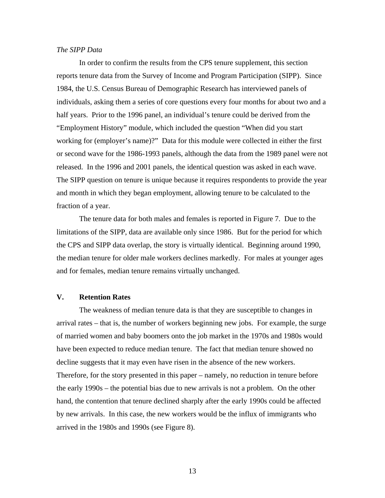#### *The SIPP Data*

In order to confirm the results from the CPS tenure supplement, this section reports tenure data from the Survey of Income and Program Participation (SIPP). Since 1984, the U.S. Census Bureau of Demographic Research has interviewed panels of individuals, asking them a series of core questions every four months for about two and a half years. Prior to the 1996 panel, an individual's tenure could be derived from the "Employment History" module, which included the question "When did you start working for (employer's name)?" Data for this module were collected in either the first or second wave for the 1986-1993 panels, although the data from the 1989 panel were not released. In the 1996 and 2001 panels, the identical question was asked in each wave. The SIPP question on tenure is unique because it requires respondents to provide the year and month in which they began employment, allowing tenure to be calculated to the fraction of a year.

The tenure data for both males and females is reported in Figure 7. Due to the limitations of the SIPP, data are available only since 1986. But for the period for which the CPS and SIPP data overlap, the story is virtually identical. Beginning around 1990, the median tenure for older male workers declines markedly. For males at younger ages and for females, median tenure remains virtually unchanged.

#### **V. Retention Rates**

 The weakness of median tenure data is that they are susceptible to changes in arrival rates – that is, the number of workers beginning new jobs. For example, the surge of married women and baby boomers onto the job market in the 1970s and 1980s would have been expected to reduce median tenure. The fact that median tenure showed no decline suggests that it may even have risen in the absence of the new workers. Therefore, for the story presented in this paper – namely, no reduction in tenure before the early 1990s – the potential bias due to new arrivals is not a problem. On the other hand, the contention that tenure declined sharply after the early 1990s could be affected by new arrivals. In this case, the new workers would be the influx of immigrants who arrived in the 1980s and 1990s (see Figure 8).

13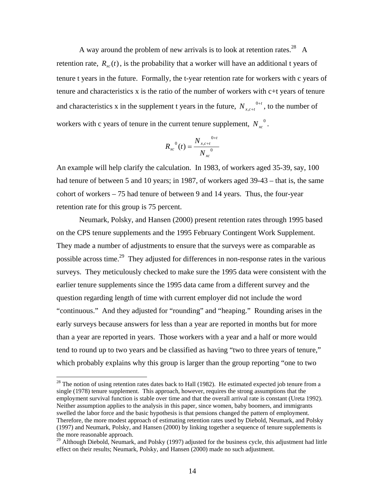A way around the problem of new arrivals is to look at retention rates.<sup>28</sup> A retention rate,  $R_{r}(t)$ , is the probability that a worker will have an additional t years of tenure t years in the future. Formally, the t-year retention rate for workers with c years of tenure and characteristics x is the ratio of the number of workers with c+t years of tenure and characteristics x in the supplement t years in the future,  $N_{x,c+t}^{0+t}$ +  $_{,c+t}^{0+t}$ , to the number of workers with c years of tenure in the current tenure supplement,  $N_{xx}^{0}$ .

$$
R_{xc}^{0}(t) = \frac{N_{x,c+t}^{0+t}}{N_{xc}^{0}}
$$

An example will help clarify the calculation. In 1983, of workers aged 35-39, say, 100 had tenure of between 5 and 10 years; in 1987, of workers aged 39-43 – that is, the same cohort of workers – 75 had tenure of between 9 and 14 years. Thus, the four-year retention rate for this group is 75 percent.

 Neumark, Polsky, and Hansen (2000) present retention rates through 1995 based on the CPS tenure supplements and the 1995 February Contingent Work Supplement. They made a number of adjustments to ensure that the surveys were as comparable as possible across time.<sup>29</sup> They adjusted for differences in non-response rates in the various surveys. They meticulously checked to make sure the 1995 data were consistent with the earlier tenure supplements since the 1995 data came from a different survey and the question regarding length of time with current employer did not include the word "continuous." And they adjusted for "rounding" and "heaping." Rounding arises in the early surveys because answers for less than a year are reported in months but for more than a year are reported in years. Those workers with a year and a half or more would tend to round up to two years and be classified as having "two to three years of tenure," which probably explains why this group is larger than the group reporting "one to two

1

 $28$  The notion of using retention rates dates back to Hall (1982). He estimated expected job tenure from a single (1978) tenure supplement. This approach, however, requires the strong assumptions that the employment survival function is stable over time and that the overall arrival rate is constant (Ureta 1992). Neither assumption applies to the analysis in this paper, since women, baby boomers, and immigrants swelled the labor force and the basic hypothesis is that pensions changed the pattern of employment. Therefore, the more modest approach of estimating retention rates used by Diebold, Neumark, and Polsky (1997) and Neumark, Polsky, and Hansen (2000) by linking together a sequence of tenure supplements is the more reasonable approach.

<sup>&</sup>lt;sup>29</sup> Although Diebold, Neumark, and Polsky (1997) adjusted for the business cycle, this adjustment had little effect on their results; Neumark, Polsky, and Hansen (2000) made no such adjustment.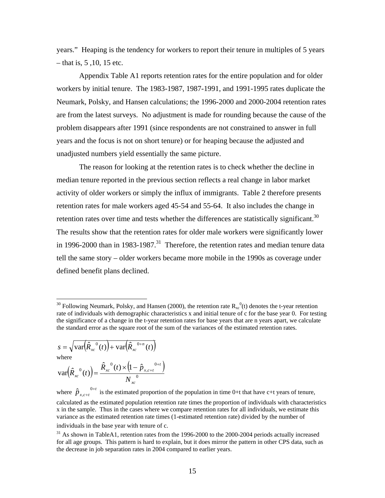years." Heaping is the tendency for workers to report their tenure in multiples of 5 years – that is, 5 ,10, 15 etc.

 Appendix Table A1 reports retention rates for the entire population and for older workers by initial tenure. The 1983-1987, 1987-1991, and 1991-1995 rates duplicate the Neumark, Polsky, and Hansen calculations; the 1996-2000 and 2000-2004 retention rates are from the latest surveys. No adjustment is made for rounding because the cause of the problem disappears after 1991 (since respondents are not constrained to answer in full years and the focus is not on short tenure) or for heaping because the adjusted and unadjusted numbers yield essentially the same picture.

 The reason for looking at the retention rates is to check whether the decline in median tenure reported in the previous section reflects a real change in labor market activity of older workers or simply the influx of immigrants. Table 2 therefore presents retention rates for male workers aged 45-54 and 55-64. It also includes the change in retention rates over time and tests whether the differences are statistically significant.<sup>30</sup> The results show that the retention rates for older male workers were significantly lower in 1996-2000 than in 1983-1987.<sup>31</sup> Therefore, the retention rates and median tenure data tell the same story – older workers became more mobile in the 1990s as coverage under defined benefit plans declined.

$$
s = \sqrt{\text{var}(\hat{R}_{xc}^{0}(t)) + \text{var}(\hat{R}_{xc}^{0+n}(t))}
$$
  
where  

$$
\text{var}(\hat{R}_{xc}^{0}(t)) = \frac{\hat{R}_{xc}^{0}(t) \times (1 - \hat{p}_{x,c+t}^{0+t})}{N_{0}}
$$

1

*xc*  $\frac{1}{x^c}$   $\frac{(t)}{t}$  –  $\frac{N}{x^c}$ where  $\hat{p}_{x,c+t}^{0+t}$  $\hat{p}_{x,c+t}^{0+t}$  is the estimated proportion of the population in time 0+t that have c+t years of tenure, calculated as the estimated population retention rate times the proportion of individuals with characteristics x in the sample. Thus in the cases where we compare retention rates for all individuals, we estimate this

<sup>&</sup>lt;sup>30</sup> Following Neumark, Polsky, and Hansen (2000), the retention rate  $R_{xc}^{0}(t)$  denotes the t-year retention rate of individuals with demographic characteristics x and initial tenure of c for the base year 0. For testing the significance of a change in the t-year retention rates for base years that are n years apart, we calculate the standard error as the square root of the sum of the variances of the estimated retention rates.

variance as the estimated retention rate times (1-estimated retention rate) divided by the number of individuals in the base year with tenure of c.

 $31$  As shown in TableA1, retention rates from the 1996-2000 to the 2000-2004 periods actually increased for all age groups. This pattern is hard to explain, but it does mirror the pattern in other CPS data, such as the decrease in job separation rates in 2004 compared to earlier years.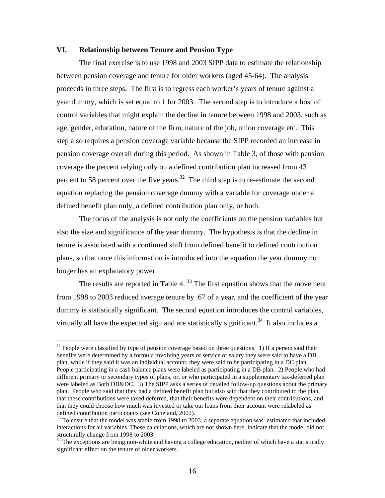# **VI. Relationship between Tenure and Pension Type**

 The final exercise is to use 1998 and 2003 SIPP data to estimate the relationship between pension coverage and tenure for older workers (aged 45-64). The analysis proceeds in three steps. The first is to regress each worker's years of tenure against a year dummy, which is set equal to 1 for 2003. The second step is to introduce a host of control variables that might explain the decline in tenure between 1998 and 2003, such as age, gender, education, nature of the firm, nature of the job, union coverage etc. This step also requires a pension coverage variable because the SIPP recorded an increase in pension coverage overall during this period. As shown in Table 3, of those with pension coverage the percent relying only on a defined contribution plan increased from 43 percent to 58 percent over the five years.<sup>32</sup> The third step is to re-estimate the second equation replacing the pension coverage dummy with a variable for coverage under a defined benefit plan only, a defined contribution plan only, or both.

 The focus of the analysis is not only the coefficients on the pension variables but also the size and significance of the year dummy. The hypothesis is that the decline in tenure is associated with a continued shift from defined benefit to defined contribution plans, so that once this information is introduced into the equation the year dummy no longer has an explanatory power.

The results are reported in Table 4. $33$  The first equation shows that the movement from 1998 to 2003 reduced average tenure by .67 of a year, and the coefficient of the year dummy is statistically significant. The second equation introduces the control variables, virtually all have the expected sign and are statistically significant.<sup>34</sup> It also includes a

 $32$  People were classified by type of pension coverage based on three questions. 1) If a person said their benefits were determined by a formula involving years of service or salary they were said to have a DB plan, while if they said it was an individual account, they were said to be participating in a DC plan. People participating in a cash balance plans were labeled as participating in a DB plan. 2) People who had different primary or secondary types of plans, or, or who participated in a supplementary tax-deferred plan were labeled as Both DB&DC. 3) The SIPP asks a series of detailed follow-up questions about the primary plan. People who said that they had a defined benefit plan but also said that they contributed to the plan, that these contributions were taxed deferred, that their benefits were dependent on their contributions, and that they could choose how much was invested or take out loans from their account were relabeled as defined contribution participants (see Copeland, 2002).

<sup>&</sup>lt;sup>33</sup> To ensure that the model was stable from 1998 to 2003, a separate equation was estimated that included interactions for all variables. These calculations, which are not shown here, indicate that the model did not structurally change from 1998 to 2003.

<sup>&</sup>lt;sup>34</sup> The exceptions are being non-white and having a college education, neither of which have a statistically significant effect on the tenure of older workers.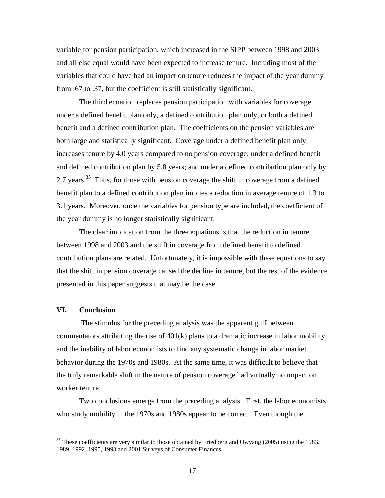variable for pension participation, which increased in the SIPP between 1998 and 2003 and all else equal would have been expected to increase tenure. Including most of the variables that could have had an impact on tenure reduces the impact of the year dummy from .67 to .37, but the coefficient is still statistically significant.

 The third equation replaces pension participation with variables for coverage under a defined benefit plan only, a defined contribution plan only, or both a defined benefit and a defined contribution plan. The coefficients on the pension variables are both large and statistically significant. Coverage under a defined benefit plan only increases tenure by 4.0 years compared to no pension coverage; under a defined benefit and defined contribution plan by 5.8 years; and under a defined contribution plan only by 2.7 years.<sup>35</sup> Thus, for those with pension coverage the shift in coverage from a defined benefit plan to a defined contribution plan implies a reduction in average tenure of 1.3 to 3.1 years. Moreover, once the variables for pension type are included, the coefficient of the year dummy is no longer statistically significant.

 The clear implication from the three equations is that the reduction in tenure between 1998 and 2003 and the shift in coverage from defined benefit to defined contribution plans are related. Unfortunately, it is impossible with these equations to say that the shift in pension coverage caused the decline in tenure, but the rest of the evidence presented in this paper suggests that may be the case.

# **VI. Conclusion**

 $\overline{a}$ 

 The stimulus for the preceding analysis was the apparent gulf between commentators attributing the rise of 401(k) plans to a dramatic increase in labor mobility and the inability of labor economists to find any systematic change in labor market behavior during the 1970s and 1980s. At the same time, it was difficult to believe that the truly remarkable shift in the nature of pension coverage had virtually no impact on worker tenure.

Two conclusions emerge from the preceding analysis. First, the labor economists who study mobility in the 1970s and 1980s appear to be correct. Even though the

 $35$  These coefficients are very similar to those obtained by Friedberg and Owyang (2005) using the 1983, 1989, 1992, 1995, 1998 and 2001 Surveys of Consumer Finances.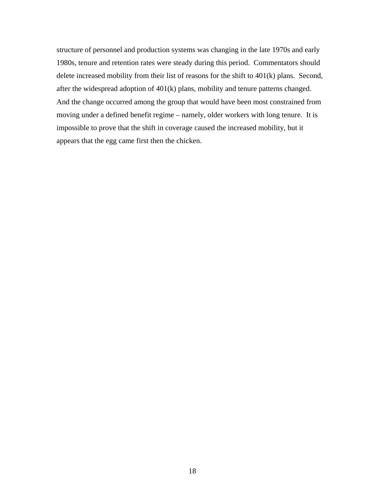structure of personnel and production systems was changing in the late 1970s and early 1980s, tenure and retention rates were steady during this period. Commentators should delete increased mobility from their list of reasons for the shift to 401(k) plans. Second, after the widespread adoption of 401(k) plans, mobility and tenure patterns changed. And the change occurred among the group that would have been most constrained from moving under a defined benefit regime – namely, older workers with long tenure. It is impossible to prove that the shift in coverage caused the increased mobility, but it appears that the egg came first then the chicken.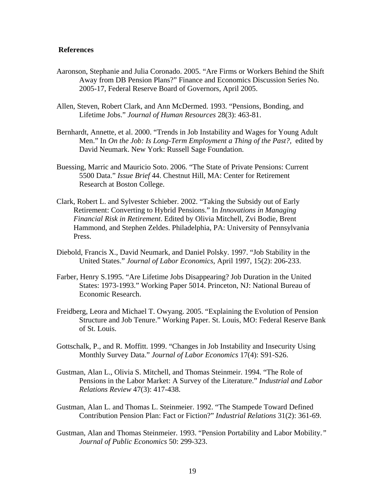#### **References**

- Aaronson, Stephanie and Julia Coronado. 2005. "Are Firms or Workers Behind the Shift Away from DB Pension Plans?" Finance and Economics Discussion Series No. 2005-17, Federal Reserve Board of Governors, April 2005.
- Allen, Steven, Robert Clark, and Ann McDermed. 1993. "Pensions, Bonding, and Lifetime Jobs." *Journal of Human Resources* 28(3): 463-81.
- Bernhardt, Annette, et al. 2000. "Trends in Job Instability and Wages for Young Adult Men." In *On the Job: Is Long-Term Employment a Thing of the Past?,* edited by David Neumark. New York: Russell Sage Foundation.
- Buessing, Marric and Mauricio Soto. 2006. "The State of Private Pensions: Current 5500 Data." *Issue Brief* 44. Chestnut Hill, MA: Center for Retirement Research at Boston College.
- Clark, Robert L. and Sylvester Schieber. 2002. "Taking the Subsidy out of Early Retirement: Converting to Hybrid Pensions." In *Innovations in Managing Financial Risk in Retirement*. Edited by Olivia Mitchell, Zvi Bodie, Brent Hammond, and Stephen Zeldes. Philadelphia, PA: University of Pennsylvania Press.
- Diebold, Francis X., David Neumark, and Daniel Polsky. 1997. "Job Stability in the United States." *Journal of Labor Economics*, April 1997, 15(2): 206-233.
- Farber, Henry S.1995. "Are Lifetime Jobs Disappearing? Job Duration in the United States: 1973-1993." Working Paper 5014. Princeton, NJ: National Bureau of Economic Research.
- Freidberg, Leora and Michael T. Owyang. 2005. "Explaining the Evolution of Pension Structure and Job Tenure." Working Paper. St. Louis, MO: Federal Reserve Bank of St. Louis.
- Gottschalk, P., and R. Moffitt. 1999. "Changes in Job Instability and Insecurity Using Monthly Survey Data." *Journal of Labor Economics* 17(4): S91-S26.
- Gustman, Alan L., Olivia S. Mitchell, and Thomas Steinmeir. 1994. "The Role of Pensions in the Labor Market: A Survey of the Literature." *Industrial and Labor Relations Review* 47(3): 417-438.
- Gustman, Alan L. and Thomas L. Steinmeier. 1992. "The Stampede Toward Defined Contribution Pension Plan: Fact or Fiction?" *Industrial Relations* 31(2): 361-69.
- Gustman, Alan and Thomas Steinmeier. 1993. "Pension Portability and Labor Mobility.*" Journal of Public Economics* 50: 299-323.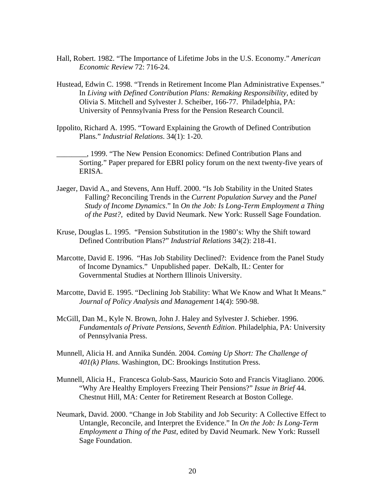- Hall, Robert. 1982. "The Importance of Lifetime Jobs in the U.S. Economy." *American Economic Review* 72: 716-24.
- Hustead, Edwin C. 1998. "Trends in Retirement Income Plan Administrative Expenses." In *Living with Defined Contribution Plans: Remaking Responsibility,* edited by Olivia S. Mitchell and Sylvester J. Scheiber, 166-77. Philadelphia, PA: University of Pennsylvania Press for the Pension Research Council.
- Ippolito, Richard A. 1995. "Toward Explaining the Growth of Defined Contribution Plans." *Industrial Relations*. 34(1): 1-20.
- \_\_\_\_\_\_\_\_, 1999. "The New Pension Economics: Defined Contribution Plans and Sorting." Paper prepared for EBRI policy forum on the next twenty-five years of ERISA.
- Jaeger, David A., and Stevens, Ann Huff. 2000. "Is Job Stability in the United States Falling? Reconciling Trends in the *Current Population Survey* and the *Panel Study of Income Dynamics*." In *On the Job: Is Long-Term Employment a Thing of the Past?,* edited by David Neumark. New York: Russell Sage Foundation.
- Kruse, Douglas L. 1995. "Pension Substitution in the 1980's: Why the Shift toward Defined Contribution Plans?" *Industrial Relations* 34(2): 218-41.
- Marcotte, David E. 1996. "Has Job Stability Declined?: Evidence from the Panel Study of Income Dynamics." Unpublished paper. DeKalb, IL: Center for Governmental Studies at Northern Illinois University.
- Marcotte, David E. 1995. "Declining Job Stability: What We Know and What It Means." *Journal of Policy Analysis and Management* 14(4): 590-98.
- McGill, Dan M., Kyle N. Brown, John J. Haley and Sylvester J. Schieber. 1996. *Fundamentals of Private Pensions, Seventh Edition*. Philadelphia, PA: University of Pennsylvania Press.
- Munnell, Alicia H. and Annika Sundén. 2004. *Coming Up Short: The Challenge of 401(k) Plans*. Washington, DC: Brookings Institution Press.
- Munnell, Alicia H., Francesca Golub-Sass, Mauricio Soto and Francis Vitagliano. 2006. "Why Are Healthy Employers Freezing Their Pensions?" *Issue in Brief* 44. Chestnut Hill, MA: Center for Retirement Research at Boston College.
- Neumark, David. 2000. "Change in Job Stability and Job Security: A Collective Effect to Untangle, Reconcile, and Interpret the Evidence." In *On the Job: Is Long-Term Employment a Thing of the Past*, edited by David Neumark. New York: Russell Sage Foundation.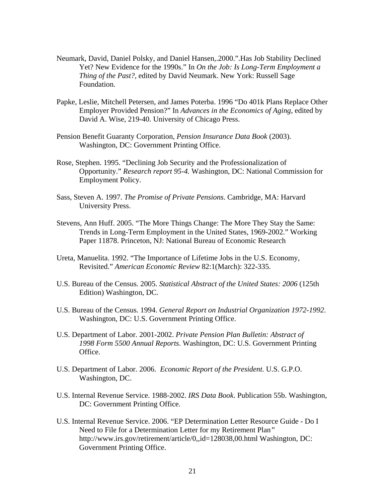- Neumark, David, Daniel Polsky, and Daniel Hansen,.2000.".Has Job Stability Declined Yet? New Evidence for the 1990s." In *On the Job: Is Long-Term Employment a Thing of the Past?,* edited by David Neumark. New York: Russell Sage Foundation.
- Papke, Leslie, Mitchell Petersen, and James Poterba. 1996 "Do 401k Plans Replace Other Employer Provided Pension?" In *Advances in the Economics of Aging*, edited by David A. Wise, 219-40. University of Chicago Press.
- Pension Benefit Guaranty Corporation, *Pension Insurance Data Book* (2003). Washington, DC: Government Printing Office.
- Rose, Stephen. 1995. "Declining Job Security and the Professionalization of Opportunity." *Research report 95-4.* Washington, DC: National Commission for Employment Policy.
- Sass, Steven A. 1997. *The Promise of Private Pensions.* Cambridge, MA: Harvard University Press.
- Stevens, Ann Huff. 2005. "The More Things Change: The More They Stay the Same: Trends in Long-Term Employment in the United States, 1969-2002." Working Paper 11878. Princeton, NJ: National Bureau of Economic Research
- Ureta, Manuelita. 1992. "The Importance of Lifetime Jobs in the U.S. Economy, Revisited." *American Economic Review* 82:1(March): 322-335.
- U.S. Bureau of the Census. 2005. *Statistical Abstract of the United States: 2006* (125th Edition) Washington, DC.
- U.S. Bureau of the Census. 1994. *General Report on Industrial Organization 1972-1992*. Washington, DC: U.S. Government Printing Office.
- U.S. Department of Labor. 2001-2002. *Private Pension Plan Bulletin: Abstract of 1998 Form 5500 Annual Reports*. Washington, DC: U.S. Government Printing Office.
- U.S. Department of Labor. 2006. *Economic Report of the President*. U.S. G.P.O. Washington, DC.
- U.S. Internal Revenue Service. 1988-2002. *IRS Data Book*. Publication 55b. Washington, DC: Government Printing Office.
- U.S. Internal Revenue Service. 2006. "EP Determination Letter Resource Guide Do I Need to File for a Determination Letter for my Retirement Plan*"*  http://www.irs.gov/retirement/article/0,,id=128038,00.html Washington, DC: Government Printing Office.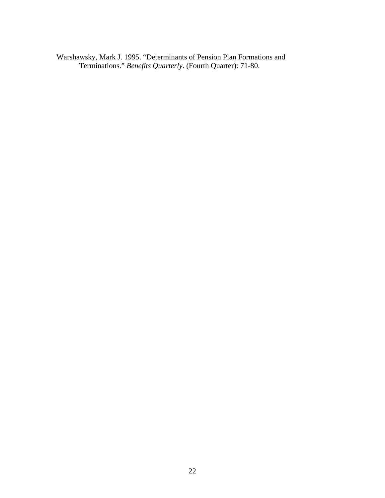Warshawsky, Mark J. 1995. "Determinants of Pension Plan Formations and Terminations." *Benefits Quarterly*. (Fourth Quarter): 71-80.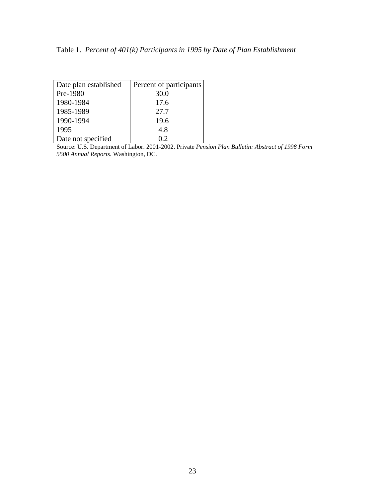| Date plan established | Percent of participants |
|-----------------------|-------------------------|
| Pre-1980              | 30.0                    |
| 1980-1984             | 17.6                    |
| 1985-1989             | 27.7                    |
| 1990-1994             | 19.6                    |
| 1995                  | 4.8                     |
| Date not specified    | ΟŽ                      |

Source: U.S. Department of Labor. 2001-2002. Private *Pension Plan Bulletin: Abstract of 1998 Form 5500 Annual Reports*. Washington, DC.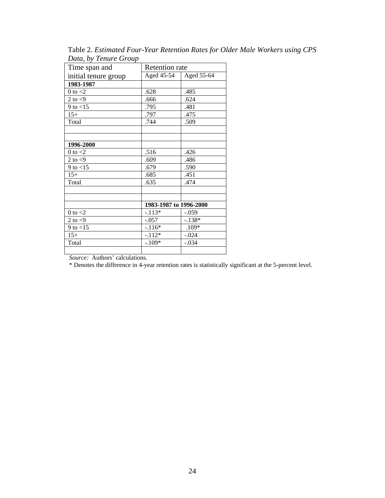| Time span and        | <b>Retention</b> rate  |            |  |  |
|----------------------|------------------------|------------|--|--|
| initial tenure group | Aged 45-54             | Aged 55-64 |  |  |
| 1983-1987            |                        |            |  |  |
| $0$ to $<\!\!2$      | .628                   | .485       |  |  |
| 2 to $\lt 9$         | .666                   | .624       |  |  |
| 9 to $<$ 15          | .795                   | .481       |  |  |
| $15+$                | .797                   | .475       |  |  |
| Total                | .744                   | .509       |  |  |
|                      |                        |            |  |  |
|                      |                        |            |  |  |
| 1996-2000            |                        |            |  |  |
| 0 to $<$ 2           | .516                   | .426       |  |  |
| 2 to $<$ 9           | .609                   | .486       |  |  |
| 9 to $<$ 15          | .679                   | .590       |  |  |
| $15+$                | .685                   | .451       |  |  |
| Total                | .635                   | .474       |  |  |
|                      |                        |            |  |  |
|                      |                        |            |  |  |
|                      | 1983-1987 to 1996-2000 |            |  |  |
| $0$ to $<$ 2         | $-.113*$               | $-.059$    |  |  |
| 2 to $<$ 9           | $-.057$                | $-.138*$   |  |  |
| $9$ to $< 15$        | $-.116*$               | $.109*$    |  |  |
| $15+$                | $-112*$                | $-.024$    |  |  |
| Total                | $-.109*$               | $-.034$    |  |  |
|                      |                        |            |  |  |

Table 2. *Estimated Four-Year Retention Rates for Older Male Workers using CPS Data, by Tenure Group*

*Source:* Authors' calculations.

\* Denotes the difference in 4-year retention rates is statistically significant at the 5-percent level.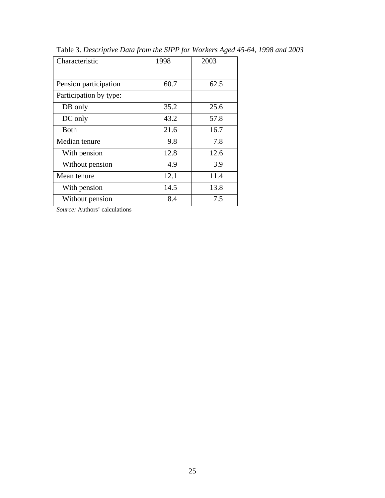| Characteristic         | 1998 | 2003 |  |
|------------------------|------|------|--|
| Pension participation  | 60.7 | 62.5 |  |
| Participation by type: |      |      |  |
| DB only                | 35.2 | 25.6 |  |
| DC only                | 43.2 | 57.8 |  |
| <b>Both</b>            | 21.6 | 16.7 |  |
| Median tenure          | 9.8  | 7.8  |  |
| With pension           | 12.8 | 12.6 |  |
| Without pension        | 4.9  | 3.9  |  |
| Mean tenure            | 12.1 | 11.4 |  |
| With pension           | 14.5 | 13.8 |  |
| Without pension        | 8.4  | 7.5  |  |

Table 3. *Descriptive Data from the SIPP for Workers Aged 45-64, 1998 and 2003*

*Source:* Authors' calculations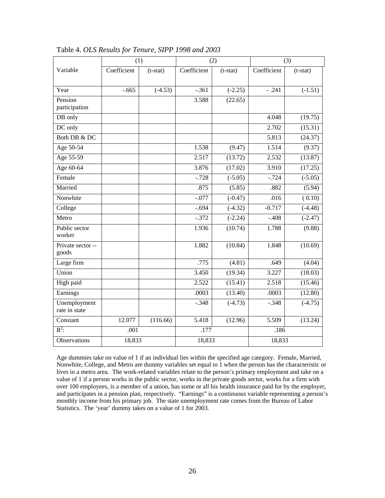|                               | (2)<br>(1)  |            |             | (3)        |             |                      |  |
|-------------------------------|-------------|------------|-------------|------------|-------------|----------------------|--|
| Variable                      | Coefficient | $(t-stat)$ | Coefficient | $(t-stat)$ | Coefficient | $(t-stat)$           |  |
|                               |             |            |             |            |             |                      |  |
| Year                          | $-.665$     | $(-4.53)$  | $-.361$     | $(-2.25)$  | $-.241$     | $(-1.51)$            |  |
| Pension                       |             |            | 3.588       | (22.65)    |             |                      |  |
| participation                 |             |            |             |            |             |                      |  |
| DB only                       |             |            |             |            | 4.048       | (19.75)              |  |
| DC only                       |             |            |             |            | 2.702       | (15.31)              |  |
| Both DB & DC                  |             |            |             |            | 5.813       | (24.37)              |  |
| Age 50-54                     |             |            | 1.538       | (9.47)     | 1.514       | (9.37)               |  |
| Age 55-59                     |             |            | 2.517       | (13.72)    | 2.532       | (13.87)              |  |
| Age 60-64                     |             |            | 3.876       | (17.02)    | 3.910       | (17.25)              |  |
| Female                        |             |            | $-.728$     | $(-5.05)$  | $-.724$     | $(-5.05)$            |  |
| Married                       |             |            | .875        | (5.85)     | .882        | (5.94)               |  |
| Nonwhite                      |             |            | $-.077$     | $(-0.47)$  | .016        | (0.10)               |  |
| College                       |             |            | $-.694$     | $(-4.32)$  | $-0.717$    | $(-4.48)$            |  |
| Metro                         |             |            | $-.372$     | $(-2.24)$  | $-.408$     | $(-2.47)$            |  |
| Public sector<br>worker       |             |            | 1.936       | (10.74)    | 1.788       | (9.88)               |  |
| Private sector --<br>goods    |             |            | 1.882       | (10.84)    | 1.848       | (10.69)              |  |
| Large firm                    |             |            | .775        | (4.81)     | .649        | (4.04)               |  |
| Union                         |             |            | 3.450       | (19.34)    | 3.227       | (18.03)              |  |
| High paid                     |             |            | 2.522       | (15.41)    | 2.518       | (15.46)              |  |
| Earnings                      |             |            | .0003       | (13.40)    | .0003       | (12.80)              |  |
| Unemployment<br>rate in state |             |            | $-.348$     | $(-4.73)$  | $-.348$     | $\overline{(-4.75)}$ |  |
| Constant                      | 12.077      | (116.66)   | 5.418       | (12.96)    | 5.509       | (13.24)              |  |
| $\mathbb{R}^2$ :              | .001        |            | .177        |            | .186        |                      |  |
| Observations                  | 18,833      |            | 18,833      |            | 18,833      |                      |  |

Table 4. *OLS Results for Tenure, SIPP 1998 and 2003*

Age dummies take on value of 1 if an individual lies within the specified age category. Female, Married, Nonwhite, College, and Metro are dummy variables set equal to 1 when the person has the characteristic or lives in a metro area. The work-related variables relate to the person's primary employment and take on a value of 1 if a person works in the public sector, works in the private goods sector, works for a firm with over 100 employees, is a member of a union, has some or all his health insurance paid for by the employer, and participates in a pension plan, respectively. "Earnings" is a continuous variable representing a person's monthly income from his primary job. The state unemployment rate comes from the Bureau of Labor Statistics. The 'year' dummy takes on a value of 1 for 2003.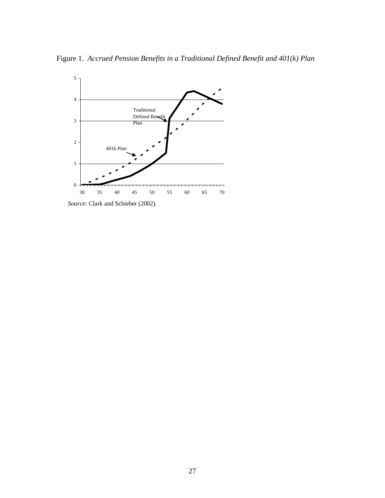Figure 1. *Accrued Pension Benefits in a Traditional Defined Benefit and 401(k) Plan*



*Source*: Clark and Schieber (2002).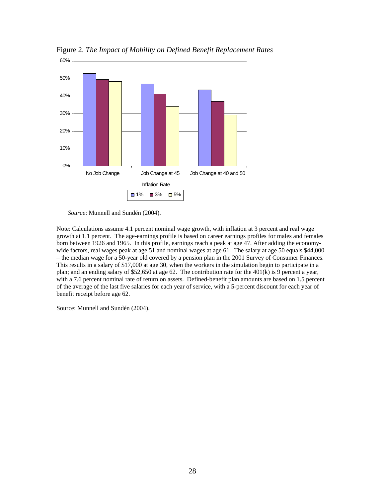

Figure 2. *The Impact of Mobility on Defined Benefit Replacement Rates* 

*Source*: Munnell and Sundén (2004).

Note: Calculations assume 4.1 percent nominal wage growth, with inflation at 3 percent and real wage growth at 1.1 percent. The age-earnings profile is based on career earnings profiles for males and females born between 1926 and 1965. In this profile, earnings reach a peak at age 47. After adding the economywide factors, real wages peak at age 51 and nominal wages at age 61. The salary at age 50 equals \$44,000 – the median wage for a 50-year old covered by a pension plan in the 2001 Survey of Consumer Finances. This results in a salary of \$17,000 at age 30, when the workers in the simulation begin to participate in a plan; and an ending salary of \$52,650 at age 62. The contribution rate for the 401(k) is 9 percent a year, with a 7.6 percent nominal rate of return on assets. Defined-benefit plan amounts are based on 1.5 percent of the average of the last five salaries for each year of service, with a 5-percent discount for each year of benefit receipt before age 62.

Source: Munnell and Sundén (2004).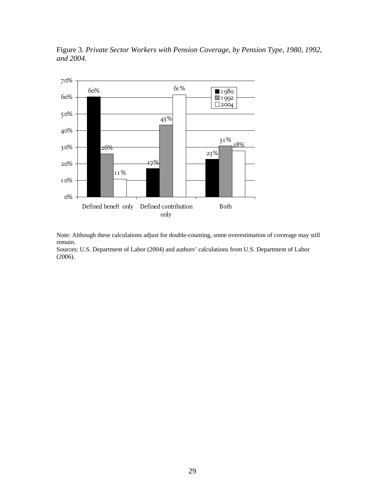



Note: Although these calculations adjust for double-counting, some overestimation of coverage may still remain.

Sources: U.S. Department of Labor (2004) and authors' calculations from U.S. Department of Labor (2006).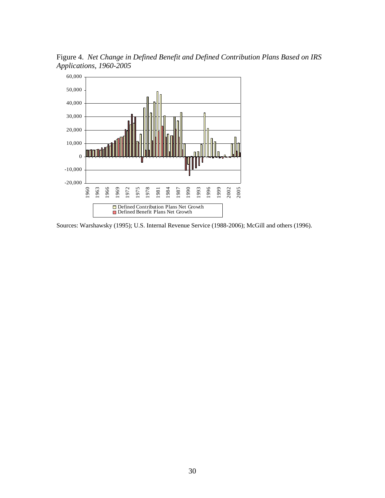Figure 4. *Net Change in Defined Benefit and Defined Contribution Plans Based on IRS Applications, 1960-2005*



Sources: Warshawsky (1995); U.S. Internal Revenue Service (1988-2006); McGill and others (1996).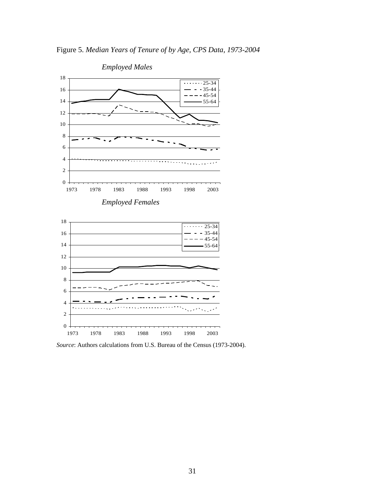Figure 5. *Median Years of Tenure of by Age, CPS Data, 1973-2004*



*Source*: Authors calculations from U.S. Bureau of the Census (1973-2004).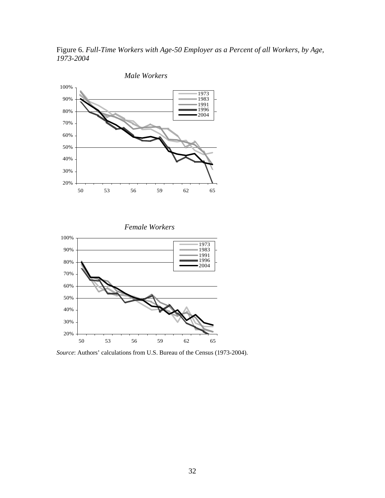Figure 6. *Full-Time Workers with Age-50 Employer as a Percent of all Workers, by Age, 1973-2004* 



*Female Workers*



*Source*: Authors' calculations from U.S. Bureau of the Census (1973-2004).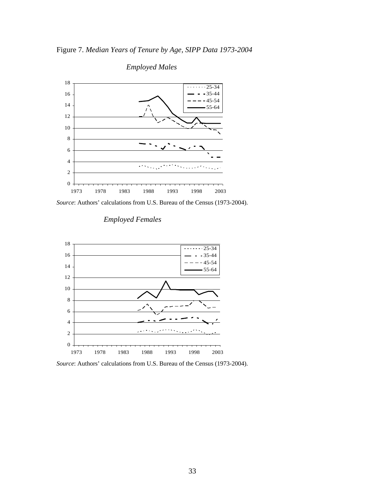



 *Employed Males*

*Source*: Authors' calculations from U.S. Bureau of the Census (1973-2004).



# *Employed Females*

*Source*: Authors' calculations from U.S. Bureau of the Census (1973-2004).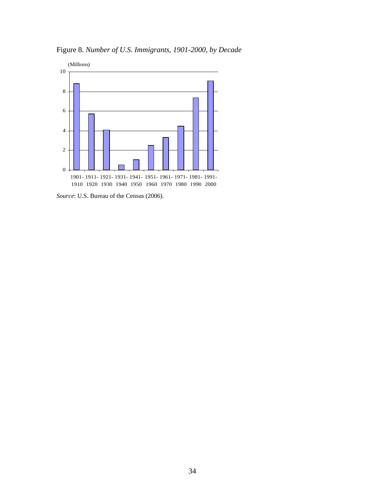

Figure 8. *Number of U.S. Immigrants, 1901-2000, by Decade*

*Source*: U.S. Bureau of the Census (2006).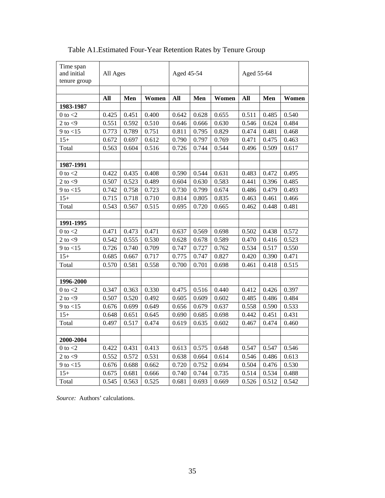| Time span<br>and initial<br>tenure group | All Ages |       | Aged 45-54 |       |       | Aged 55-64 |       |       |       |
|------------------------------------------|----------|-------|------------|-------|-------|------------|-------|-------|-------|
|                                          | All      | Men   | Women      | All   | Men   | Women      | All   | Men   | Women |
| 1983-1987                                |          |       |            |       |       |            |       |       |       |
| $0$ to $<$ 2                             | 0.425    | 0.451 | 0.400      | 0.642 | 0.628 | 0.655      | 0.511 | 0.485 | 0.540 |
| $2$ to $<9$                              | 0.551    | 0.592 | 0.510      | 0.646 | 0.666 | 0.630      | 0.546 | 0.624 | 0.484 |
| 9 to $<$ 15                              | 0.773    | 0.789 | 0.751      | 0.811 | 0.795 | 0.829      | 0.474 | 0.481 | 0.468 |
| $15+$                                    | 0.672    | 0.697 | 0.612      | 0.790 | 0.797 | 0.769      | 0.471 | 0.475 | 0.463 |
| Total                                    | 0.563    | 0.604 | 0.516      | 0.726 | 0.744 | 0.544      | 0.496 | 0.509 | 0.617 |
|                                          |          |       |            |       |       |            |       |       |       |
| 1987-1991                                |          |       |            |       |       |            |       |       |       |
| $0$ to $<$ 2                             | 0.422    | 0.435 | 0.408      | 0.590 | 0.544 | 0.631      | 0.483 | 0.472 | 0.495 |
| 2 to $<$ 9                               | 0.507    | 0.523 | 0.489      | 0.604 | 0.630 | 0.583      | 0.441 | 0.396 | 0.485 |
| $9$ to $< 15$                            | 0.742    | 0.758 | 0.723      | 0.730 | 0.799 | 0.674      | 0.486 | 0.479 | 0.493 |
| $15+$                                    | 0.715    | 0.718 | 0.710      | 0.814 | 0.805 | 0.835      | 0.463 | 0.461 | 0.466 |
| Total                                    | 0.543    | 0.567 | 0.515      | 0.695 | 0.720 | 0.665      | 0.462 | 0.448 | 0.481 |
|                                          |          |       |            |       |       |            |       |       |       |
| 1991-1995                                |          |       |            |       |       |            |       |       |       |
| $0$ to $<$ $\!2$                         | 0.471    | 0.473 | 0.471      | 0.637 | 0.569 | 0.698      | 0.502 | 0.438 | 0.572 |
| $2$ to $<\!\!9$                          | 0.542    | 0.555 | 0.530      | 0.628 | 0.678 | 0.589      | 0.470 | 0.416 | 0.523 |
| $9$ to $< 15$                            | 0.726    | 0.740 | 0.709      | 0.747 | 0.727 | 0.762      | 0.534 | 0.517 | 0.550 |
| $15+$                                    | 0.685    | 0.667 | 0.717      | 0.775 | 0.747 | 0.827      | 0.420 | 0.390 | 0.471 |
| Total                                    | 0.570    | 0.581 | 0.558      | 0.700 | 0.701 | 0.698      | 0.461 | 0.418 | 0.515 |
|                                          |          |       |            |       |       |            |       |       |       |
| 1996-2000                                |          |       |            |       |       |            |       |       |       |
| $0$ to $<$ 2                             | 0.347    | 0.363 | 0.330      | 0.475 | 0.516 | 0.440      | 0.412 | 0.426 | 0.397 |
| 2 to $<$ 9                               | 0.507    | 0.520 | 0.492      | 0.605 | 0.609 | 0.602      | 0.485 | 0.486 | 0.484 |
| $9$ to $< 15$                            | 0.676    | 0.699 | 0.649      | 0.656 | 0.679 | 0.637      | 0.558 | 0.590 | 0.533 |
| $15+$                                    | 0.648    | 0.651 | 0.645      | 0.690 | 0.685 | 0.698      | 0.442 | 0.451 | 0.431 |
| Total                                    | 0.497    | 0.517 | 0.474      | 0.619 | 0.635 | 0.602      | 0.467 | 0.474 | 0.460 |
|                                          |          |       |            |       |       |            |       |       |       |
| 2000-2004                                |          |       |            |       |       |            |       |       |       |
| $0$ to $<$ $\!2$                         | 0.422    | 0.431 | 0.413      | 0.613 | 0.575 | 0.648      | 0.547 | 0.547 | 0.546 |
| $2$ to $<\!\!9$                          | 0.552    | 0.572 | 0.531      | 0.638 | 0.664 | 0.614      | 0.546 | 0.486 | 0.613 |
| $9$ to $< 15$                            | 0.676    | 0.688 | 0.662      | 0.720 | 0.752 | 0.694      | 0.504 | 0.476 | 0.530 |
| $15+$                                    | 0.675    | 0.681 | 0.666      | 0.740 | 0.744 | 0.735      | 0.514 | 0.534 | 0.488 |
| Total                                    | 0.545    | 0.563 | 0.525      | 0.681 | 0.693 | 0.669      | 0.526 | 0.512 | 0.542 |

Table A1.Estimated Four-Year Retention Rates by Tenure Group

*Source:* Authors' calculations.